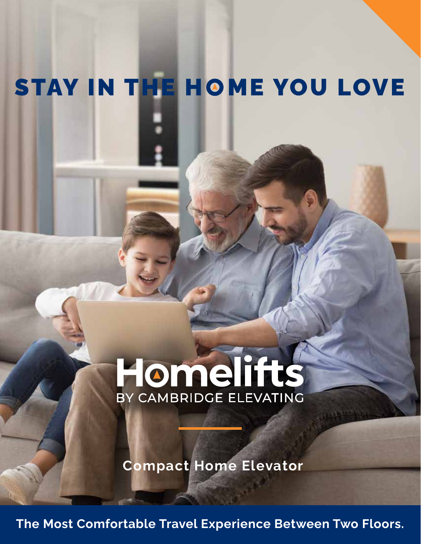## STAY IN THE HOME YOU LOVE

# Homelitts BY CAMBRIDGE ELEVATING

**Compact Home Elevator**

**The Most Comfortable Travel Experience Between Two Floors.**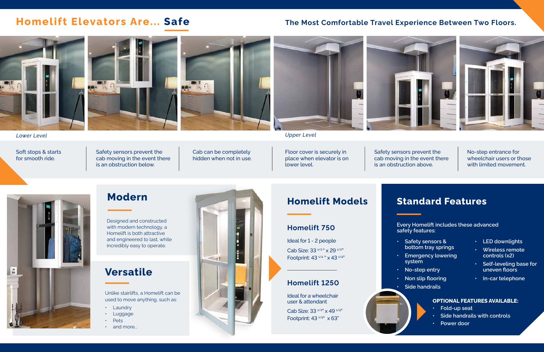## **Homelift Models**

Ideal for 1 - 2 people Cab Size: 33  $1/2$  " x 29  $1/2$ " Footprint: 43<sup>1/4</sup> " x 43<sup>1/4"</sup>

#### **Homelift 750**

Ideal for a wheelchair user & attendant

Cab Size: 33 1/2" x 49 1/4" Footprint: 43 1/4" x 63"



#### **Homelift 1250**

*Lower Level Upper Level*

Designed and constructed with modern technology, a Homelift is both attractive and engineered to last, while incredibly easy to operate.

## **Modern**

Safety sensors prevent the cab moving in the event there

is an obstruction below.

Soft stops & starts for smooth ride.





Floor cover is securely in place when elevator is on lower level.

- Laundry
- Luggage
- Pets
- and more...



Safety sensors prevent the cab moving in the event there is an obstruction above.



No-step entrance for wheelchair users or those with limited movement.

- **• Safety sensors & bottom tray springs**
- **• Emergency lowering system**
- **• No-step entry**
- **• Non slip flooring**
- **• Side handrails**
- **• LED downlights**
- **• Wireless remote controls (x2)**
- **• Self-leveling base for uneven floors**
- **• In-car telephone**

## **Standard Features**

### **Homelift Elevators Are... Safe**

**Every Homelift includes these advanced safety features:**

#### **OPTIONAL FEATURES AVAILABLE:**

- **• Fold-up seat**
- **• Side handrails with controls**
- **• Power door**

Unlike stairlifts, a Homelift can be used to move anything, such as:

## **Versatile**

#### **The Most Comfortable Travel Experience Between Two Floors.**